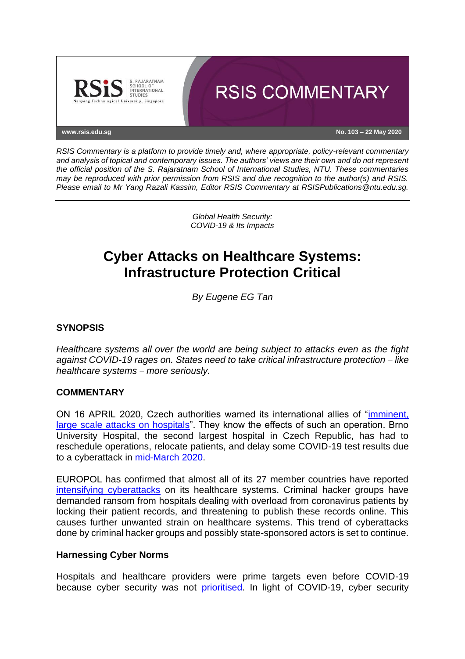

*RSIS Commentary is a platform to provide timely and, where appropriate, policy-relevant commentary and analysis of topical and contemporary issues. The authors' views are their own and do not represent the official position of the S. Rajaratnam School of International Studies, NTU. These commentaries may be reproduced with prior permission from RSIS and due recognition to the author(s) and RSIS. Please email to Mr Yang Razali Kassim, Editor RSIS Commentary at RSISPublications@ntu.edu.sg.*

> *Global Health Security: COVID-19 & Its Impacts*

# **Cyber Attacks on Healthcare Systems: Infrastructure Protection Critical**

*By Eugene EG Tan*

## **SYNOPSIS**

*Healthcare systems all over the world are being subject to attacks even as the fight against COVID-19 rages on. States need to take critical infrastructure protection* – *like healthcare systems* – *more seriously.*

## **COMMENTARY**

ON 16 APRIL 2020, Czech authorities warned its international allies of ["imminent,](https://www.channelnewsasia.com/news/business/czechs-warn-of-imminent--large-scale-cyberattacks-on-hospitals-12651842)  [large scale attacks on hospitals"](https://www.channelnewsasia.com/news/business/czechs-warn-of-imminent--large-scale-cyberattacks-on-hospitals-12651842). They know the effects of such an operation. Brno University Hospital, the second largest hospital in Czech Republic, has had to reschedule operations, relocate patients, and delay some COVID-19 test results due to a cyberattack in [mid-March 2020.](https://www.justsecurity.org/69407/cyber-attacks-against-hospitals-and-the-covid-19-pandemic-how-strong-are-international-law-protections/)

EUROPOL has confirmed that almost all of its 27 member countries have reported [intensifying cyberattacks](https://fortune.com/2020/04/01/hackers-ransomware-hospitals-labs-coronavirus/) on its healthcare systems. Criminal hacker groups have demanded ransom from hospitals dealing with overload from coronavirus patients by locking their patient records, and threatening to publish these records online. This causes further unwanted strain on healthcare systems. This trend of cyberattacks done by criminal hacker groups and possibly state-sponsored actors is set to continue.

#### **Harnessing Cyber Norms**

Hospitals and healthcare providers were prime targets even before COVID-19 because cyber security was not [prioritised.](https://www.rsis.edu.sg/rsis-publication/cens/healthcare-a-critical-information-infrastructure/#.Xp_ugcgzbIU) In light of COVID-19, cyber security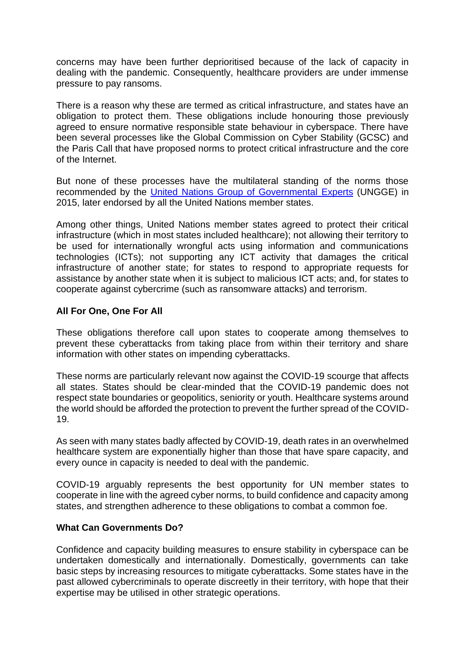concerns may have been further deprioritised because of the lack of capacity in dealing with the pandemic. Consequently, healthcare providers are under immense pressure to pay ransoms.

There is a reason why these are termed as critical infrastructure, and states have an obligation to protect them. These obligations include honouring those previously agreed to ensure normative responsible state behaviour in cyberspace. There have been several processes like the Global Commission on Cyber Stability (GCSC) and the Paris Call that have proposed norms to protect critical infrastructure and the core of the Internet.

But none of these processes have the multilateral standing of the norms those recommended by the [United Nations Group of Governmental Experts](https://www.un.org/ga/search/view_doc.asp?symbol=A/70/174) (UNGGE) in 2015, later endorsed by all the United Nations member states.

Among other things, United Nations member states agreed to protect their critical infrastructure (which in most states included healthcare); not allowing their territory to be used for internationally wrongful acts using information and communications technologies (ICTs); not supporting any ICT activity that damages the critical infrastructure of another state; for states to respond to appropriate requests for assistance by another state when it is subject to malicious ICT acts; and, for states to cooperate against cybercrime (such as ransomware attacks) and terrorism.

## **All For One, One For All**

These obligations therefore call upon states to cooperate among themselves to prevent these cyberattacks from taking place from within their territory and share information with other states on impending cyberattacks.

These norms are particularly relevant now against the COVID-19 scourge that affects all states. States should be clear-minded that the COVID-19 pandemic does not respect state boundaries or geopolitics, seniority or youth. Healthcare systems around the world should be afforded the protection to prevent the further spread of the COVID-19.

As seen with many states badly affected by COVID-19, death rates in an overwhelmed healthcare system are exponentially higher than those that have spare capacity, and every ounce in capacity is needed to deal with the pandemic.

COVID-19 arguably represents the best opportunity for UN member states to cooperate in line with the agreed cyber norms, to build confidence and capacity among states, and strengthen adherence to these obligations to combat a common foe.

#### **What Can Governments Do?**

Confidence and capacity building measures to ensure stability in cyberspace can be undertaken domestically and internationally. Domestically, governments can take basic steps by increasing resources to mitigate cyberattacks. Some states have in the past allowed cybercriminals to operate discreetly in their territory, with hope that their expertise may be utilised in other strategic operations.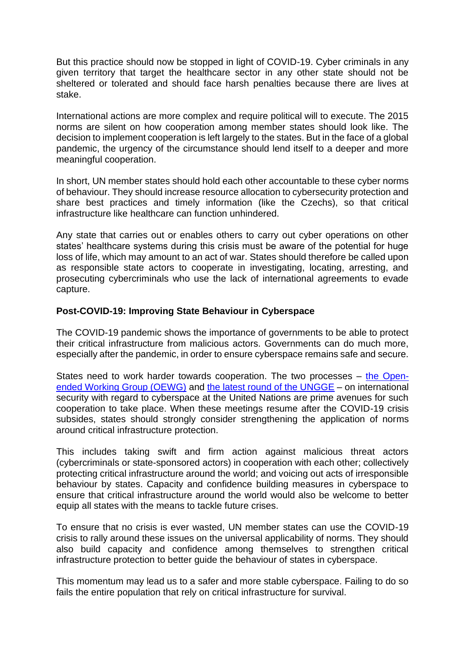But this practice should now be stopped in light of COVID-19. Cyber criminals in any given territory that target the healthcare sector in any other state should not be sheltered or tolerated and should face harsh penalties because there are lives at stake.

International actions are more complex and require political will to execute. The 2015 norms are silent on how cooperation among member states should look like. The decision to implement cooperation is left largely to the states. But in the face of a global pandemic, the urgency of the circumstance should lend itself to a deeper and more meaningful cooperation.

In short, UN member states should hold each other accountable to these cyber norms of behaviour. They should increase resource allocation to cybersecurity protection and share best practices and timely information (like the Czechs), so that critical infrastructure like healthcare can function unhindered.

Any state that carries out or enables others to carry out cyber operations on other states' healthcare systems during this crisis must be aware of the potential for huge loss of life, which may amount to an act of war. States should therefore be called upon as responsible state actors to cooperate in investigating, locating, arresting, and prosecuting cybercriminals who use the lack of international agreements to evade capture.

## **Post-COVID-19: Improving State Behaviour in Cyberspace**

The COVID-19 pandemic shows the importance of governments to be able to protect their critical infrastructure from malicious actors. Governments can do much more, especially after the pandemic, in order to ensure cyberspace remains safe and secure.

States need to work harder towards cooperation. The two processes – [the Open](https://www.un.org/disarmament/open-ended-working-group/)[ended Working Group \(OEWG\)](https://www.un.org/disarmament/open-ended-working-group/) and [the latest round of the UNGGE](https://www.un.org/disarmament/group-of-governmental-experts/) – on international security with regard to cyberspace at the United Nations are prime avenues for such cooperation to take place. When these meetings resume after the COVID-19 crisis subsides, states should strongly consider strengthening the application of norms around critical infrastructure protection.

This includes taking swift and firm action against malicious threat actors (cybercriminals or state-sponsored actors) in cooperation with each other; collectively protecting critical infrastructure around the world; and voicing out acts of irresponsible behaviour by states. Capacity and confidence building measures in cyberspace to ensure that critical infrastructure around the world would also be welcome to better equip all states with the means to tackle future crises.

To ensure that no crisis is ever wasted, UN member states can use the COVID-19 crisis to rally around these issues on the universal applicability of norms. They should also build capacity and confidence among themselves to strengthen critical infrastructure protection to better guide the behaviour of states in cyberspace.

This momentum may lead us to a safer and more stable cyberspace. Failing to do so fails the entire population that rely on critical infrastructure for survival.